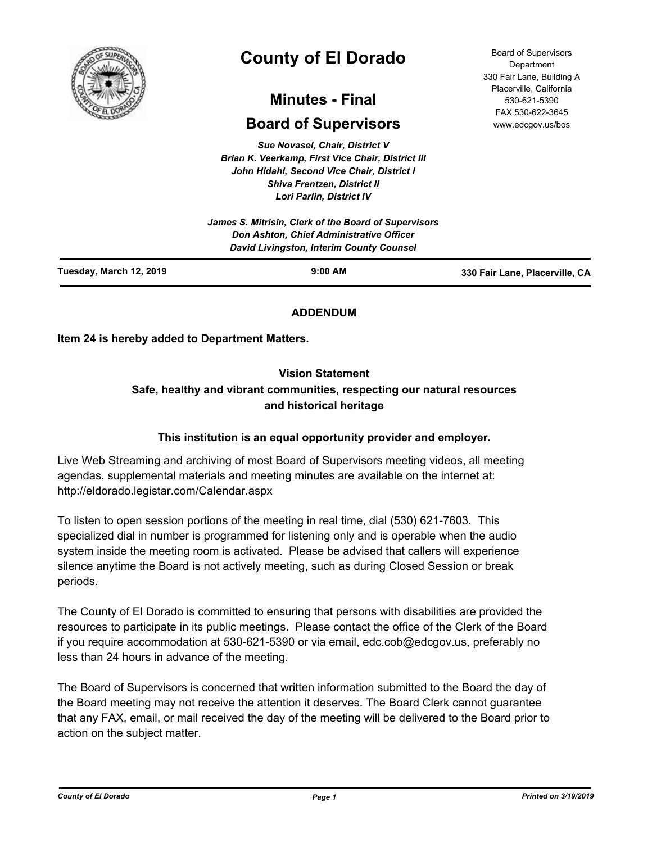

# **County of El Dorado**

## **Minutes - Final**

## **Board of Supervisors**

*Sue Novasel, Chair, District V Brian K. Veerkamp, First Vice Chair, District III John Hidahl, Second Vice Chair, District I Shiva Frentzen, District II Lori Parlin, District IV*

| Tuesday, March 12, 2019 | $9:00$ AM                                                                                                                                           | 330 Fair Lane, Placerville, CA |
|-------------------------|-----------------------------------------------------------------------------------------------------------------------------------------------------|--------------------------------|
|                         | James S. Mitrisin, Clerk of the Board of Supervisors<br><b>Don Ashton, Chief Administrative Officer</b><br>David Livingston, Interim County Counsel |                                |

## **ADDENDUM**

**Item 24 is hereby added to Department Matters.**

## **Vision Statement**

## **Safe, healthy and vibrant communities, respecting our natural resources and historical heritage**

## **This institution is an equal opportunity provider and employer.**

Live Web Streaming and archiving of most Board of Supervisors meeting videos, all meeting agendas, supplemental materials and meeting minutes are available on the internet at: http://eldorado.legistar.com/Calendar.aspx

To listen to open session portions of the meeting in real time, dial (530) 621-7603. This specialized dial in number is programmed for listening only and is operable when the audio system inside the meeting room is activated. Please be advised that callers will experience silence anytime the Board is not actively meeting, such as during Closed Session or break periods.

The County of El Dorado is committed to ensuring that persons with disabilities are provided the resources to participate in its public meetings. Please contact the office of the Clerk of the Board if you require accommodation at 530-621-5390 or via email, edc.cob@edcgov.us, preferably no less than 24 hours in advance of the meeting.

The Board of Supervisors is concerned that written information submitted to the Board the day of the Board meeting may not receive the attention it deserves. The Board Clerk cannot guarantee that any FAX, email, or mail received the day of the meeting will be delivered to the Board prior to action on the subject matter.

Board of Supervisors Department 330 Fair Lane, Building A Placerville, California 530-621-5390 FAX 530-622-3645 www.edcgov.us/bos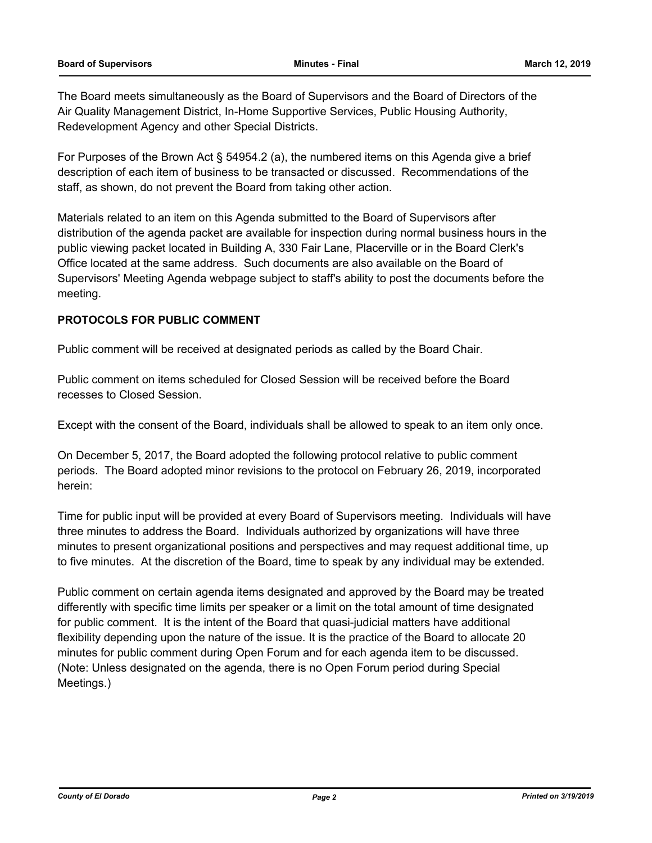The Board meets simultaneously as the Board of Supervisors and the Board of Directors of the Air Quality Management District, In-Home Supportive Services, Public Housing Authority, Redevelopment Agency and other Special Districts.

For Purposes of the Brown Act § 54954.2 (a), the numbered items on this Agenda give a brief description of each item of business to be transacted or discussed. Recommendations of the staff, as shown, do not prevent the Board from taking other action.

Materials related to an item on this Agenda submitted to the Board of Supervisors after distribution of the agenda packet are available for inspection during normal business hours in the public viewing packet located in Building A, 330 Fair Lane, Placerville or in the Board Clerk's Office located at the same address. Such documents are also available on the Board of Supervisors' Meeting Agenda webpage subject to staff's ability to post the documents before the meeting.

## **PROTOCOLS FOR PUBLIC COMMENT**

Public comment will be received at designated periods as called by the Board Chair.

Public comment on items scheduled for Closed Session will be received before the Board recesses to Closed Session.

Except with the consent of the Board, individuals shall be allowed to speak to an item only once.

On December 5, 2017, the Board adopted the following protocol relative to public comment periods. The Board adopted minor revisions to the protocol on February 26, 2019, incorporated herein:

Time for public input will be provided at every Board of Supervisors meeting. Individuals will have three minutes to address the Board. Individuals authorized by organizations will have three minutes to present organizational positions and perspectives and may request additional time, up to five minutes. At the discretion of the Board, time to speak by any individual may be extended.

Public comment on certain agenda items designated and approved by the Board may be treated differently with specific time limits per speaker or a limit on the total amount of time designated for public comment. It is the intent of the Board that quasi-judicial matters have additional flexibility depending upon the nature of the issue. It is the practice of the Board to allocate 20 minutes for public comment during Open Forum and for each agenda item to be discussed. (Note: Unless designated on the agenda, there is no Open Forum period during Special Meetings.)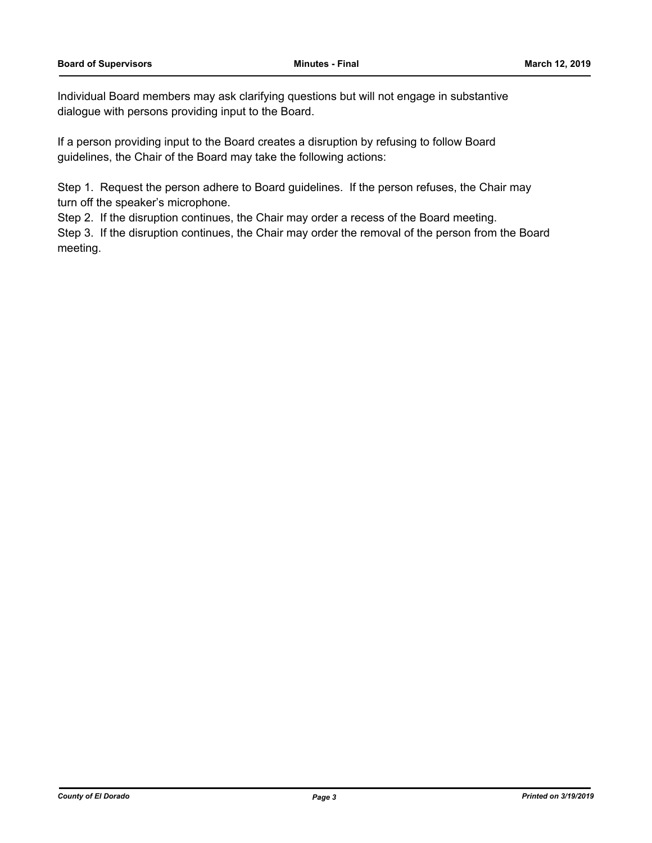Individual Board members may ask clarifying questions but will not engage in substantive dialogue with persons providing input to the Board.

If a person providing input to the Board creates a disruption by refusing to follow Board guidelines, the Chair of the Board may take the following actions:

Step 1. Request the person adhere to Board guidelines. If the person refuses, the Chair may turn off the speaker's microphone.

Step 2. If the disruption continues, the Chair may order a recess of the Board meeting.

Step 3. If the disruption continues, the Chair may order the removal of the person from the Board meeting.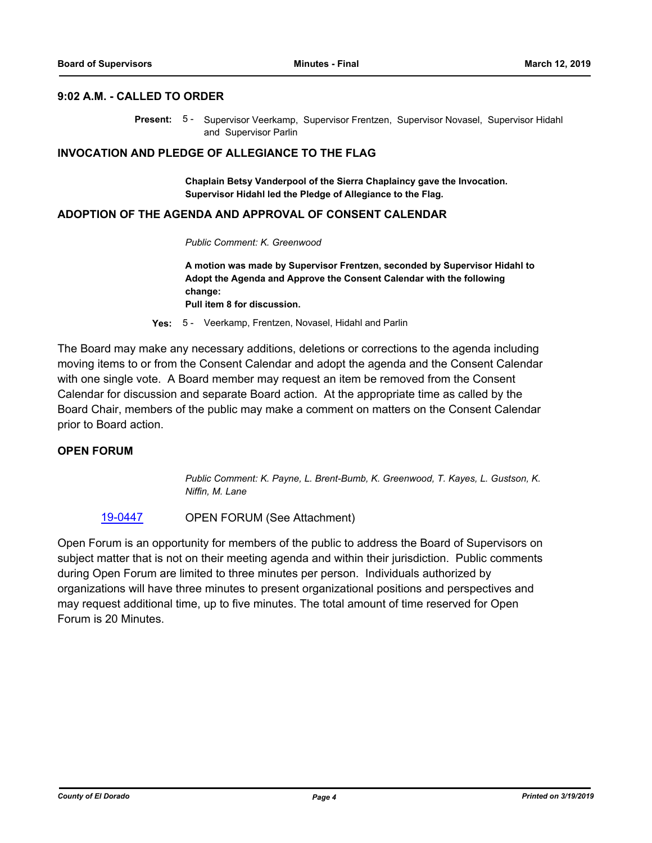#### **9:02 A.M. - CALLED TO ORDER**

Present: 5 - Supervisor Veerkamp, Supervisor Frentzen, Supervisor Novasel, Supervisor Hidahl and Supervisor Parlin

#### **INVOCATION AND PLEDGE OF ALLEGIANCE TO THE FLAG**

**Chaplain Betsy Vanderpool of the Sierra Chaplaincy gave the Invocation. Supervisor Hidahl led the Pledge of Allegiance to the Flag.**

#### **ADOPTION OF THE AGENDA AND APPROVAL OF CONSENT CALENDAR**

*Public Comment: K. Greenwood*

**A motion was made by Supervisor Frentzen, seconded by Supervisor Hidahl to Adopt the Agenda and Approve the Consent Calendar with the following change: Pull item 8 for discussion.**

**Yes:** 5 - Veerkamp, Frentzen, Novasel, Hidahl and Parlin

The Board may make any necessary additions, deletions or corrections to the agenda including moving items to or from the Consent Calendar and adopt the agenda and the Consent Calendar with one single vote. A Board member may request an item be removed from the Consent Calendar for discussion and separate Board action. At the appropriate time as called by the Board Chair, members of the public may make a comment on matters on the Consent Calendar prior to Board action.

#### **OPEN FORUM**

*Public Comment: K. Payne, L. Brent-Bumb, K. Greenwood, T. Kayes, L. Gustson, K. Niffin, M. Lane*

#### [19-0447](http://eldorado.legistar.com/gateway.aspx?m=l&id=/matter.aspx?key=25768) OPEN FORUM (See Attachment)

Open Forum is an opportunity for members of the public to address the Board of Supervisors on subject matter that is not on their meeting agenda and within their jurisdiction. Public comments during Open Forum are limited to three minutes per person. Individuals authorized by organizations will have three minutes to present organizational positions and perspectives and may request additional time, up to five minutes. The total amount of time reserved for Open Forum is 20 Minutes.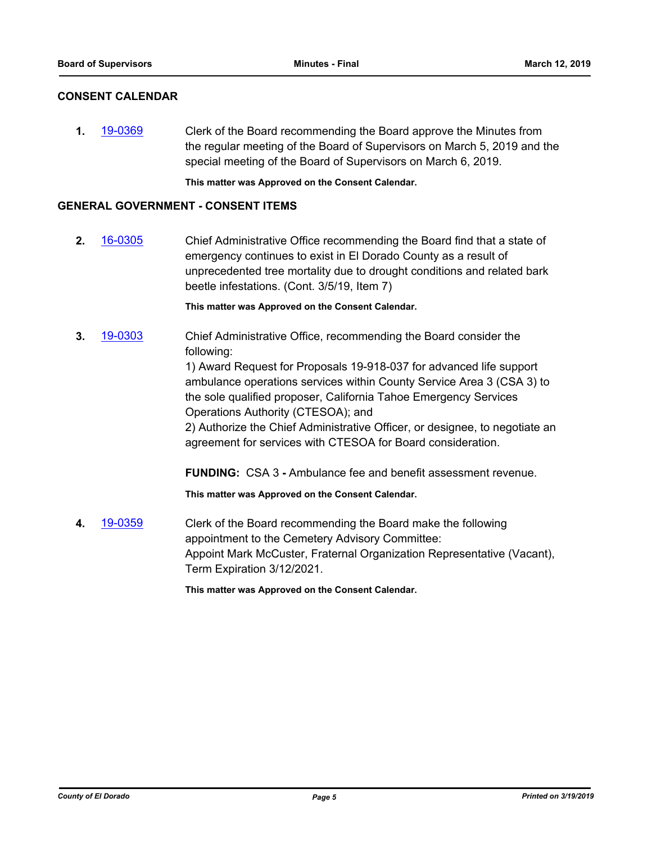## **CONSENT CALENDAR**

**1.** [19-0369](http://eldorado.legistar.com/gateway.aspx?m=l&id=/matter.aspx?key=25690) Clerk of the Board recommending the Board approve the Minutes from the regular meeting of the Board of Supervisors on March 5, 2019 and the special meeting of the Board of Supervisors on March 6, 2019.

**This matter was Approved on the Consent Calendar.**

#### **GENERAL GOVERNMENT - CONSENT ITEMS**

**2.** [16-0305](http://eldorado.legistar.com/gateway.aspx?m=l&id=/matter.aspx?key=20961) Chief Administrative Office recommending the Board find that a state of emergency continues to exist in El Dorado County as a result of unprecedented tree mortality due to drought conditions and related bark beetle infestations. (Cont. 3/5/19, Item 7)

**This matter was Approved on the Consent Calendar.**

**3.** [19-0303](http://eldorado.legistar.com/gateway.aspx?m=l&id=/matter.aspx?key=25625) Chief Administrative Office, recommending the Board consider the following:

> 1) Award Request for Proposals 19-918-037 for advanced life support ambulance operations services within County Service Area 3 (CSA 3) to the sole qualified proposer, California Tahoe Emergency Services Operations Authority (CTESOA); and

2) Authorize the Chief Administrative Officer, or designee, to negotiate an agreement for services with CTESOA for Board consideration.

**FUNDING:** CSA 3 **-** Ambulance fee and benefit assessment revenue.

**This matter was Approved on the Consent Calendar.**

**4.** [19-0359](http://eldorado.legistar.com/gateway.aspx?m=l&id=/matter.aspx?key=25680) Clerk of the Board recommending the Board make the following appointment to the Cemetery Advisory Committee: Appoint Mark McCuster, Fraternal Organization Representative (Vacant), Term Expiration 3/12/2021.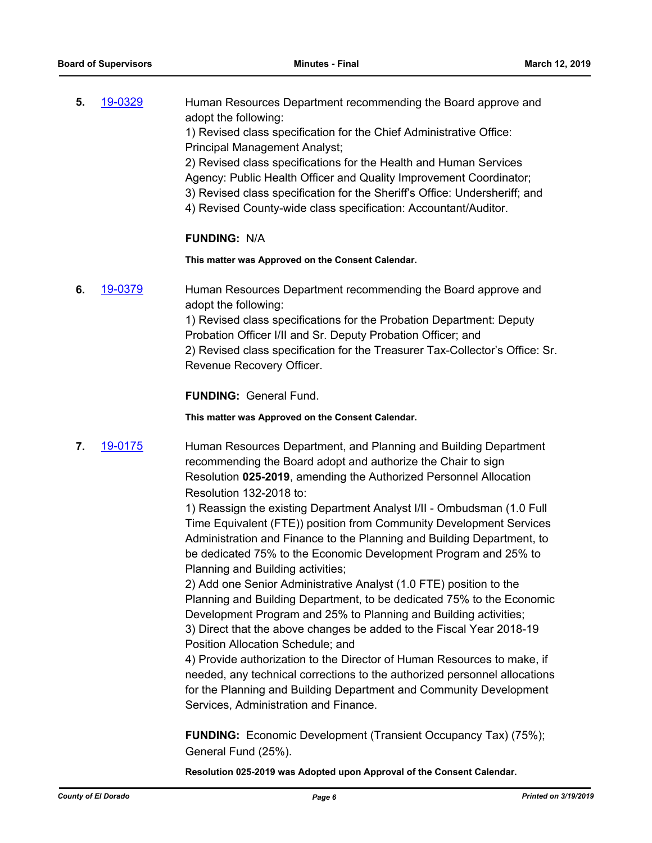| 5. | 19-0329 | Human Resources Department recommending the Board approve and              |
|----|---------|----------------------------------------------------------------------------|
|    |         | adopt the following:                                                       |
|    |         | 1) Revised class specification for the Chief Administrative Office:        |
|    |         | <b>Principal Management Analyst;</b>                                       |
|    |         | 2) Revised class specifications for the Health and Human Services          |
|    |         | Agency: Public Health Officer and Quality Improvement Coordinator;         |
|    |         | 3) Revised class specification for the Sheriff's Office: Undersheriff; and |
|    |         |                                                                            |

4) Revised County-wide class specification: Accountant/Auditor.

#### **FUNDING:** N/A

**This matter was Approved on the Consent Calendar.**

**6.** [19-0379](http://eldorado.legistar.com/gateway.aspx?m=l&id=/matter.aspx?key=25700) Human Resources Department recommending the Board approve and adopt the following:

> 1) Revised class specifications for the Probation Department: Deputy Probation Officer I/II and Sr. Deputy Probation Officer; and 2) Revised class specification for the Treasurer Tax-Collector's Office: Sr. Revenue Recovery Officer.

**FUNDING:** General Fund.

**This matter was Approved on the Consent Calendar.**

**7.** [19-0175](http://eldorado.legistar.com/gateway.aspx?m=l&id=/matter.aspx?key=25495) Human Resources Department, and Planning and Building Department recommending the Board adopt and authorize the Chair to sign Resolution **025-2019**, amending the Authorized Personnel Allocation Resolution 132-2018 to:

> 1) Reassign the existing Department Analyst I/II - Ombudsman (1.0 Full Time Equivalent (FTE)) position from Community Development Services Administration and Finance to the Planning and Building Department, to be dedicated 75% to the Economic Development Program and 25% to Planning and Building activities;

> 2) Add one Senior Administrative Analyst (1.0 FTE) position to the Planning and Building Department, to be dedicated 75% to the Economic Development Program and 25% to Planning and Building activities; 3) Direct that the above changes be added to the Fiscal Year 2018-19 Position Allocation Schedule; and

> 4) Provide authorization to the Director of Human Resources to make, if needed, any technical corrections to the authorized personnel allocations for the Planning and Building Department and Community Development Services, Administration and Finance.

**FUNDING:** Economic Development (Transient Occupancy Tax) (75%); General Fund (25%).

**Resolution 025-2019 was Adopted upon Approval of the Consent Calendar.**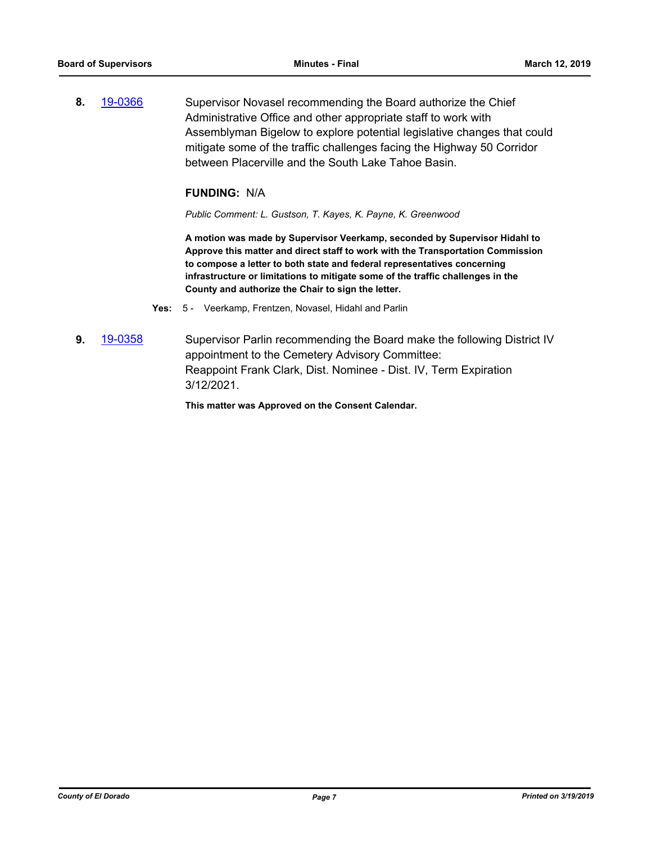**8.** [19-0366](http://eldorado.legistar.com/gateway.aspx?m=l&id=/matter.aspx?key=25687) Supervisor Novasel recommending the Board authorize the Chief Administrative Office and other appropriate staff to work with Assemblyman Bigelow to explore potential legislative changes that could mitigate some of the traffic challenges facing the Highway 50 Corridor between Placerville and the South Lake Tahoe Basin.

## **FUNDING:** N/A

*Public Comment: L. Gustson, T. Kayes, K. Payne, K. Greenwood*

**A motion was made by Supervisor Veerkamp, seconded by Supervisor Hidahl to Approve this matter and direct staff to work with the Transportation Commission to compose a letter to both state and federal representatives concerning infrastructure or limitations to mitigate some of the traffic challenges in the County and authorize the Chair to sign the letter.**

- **Yes:** 5 Veerkamp, Frentzen, Novasel, Hidahl and Parlin
- **9.** [19-0358](http://eldorado.legistar.com/gateway.aspx?m=l&id=/matter.aspx?key=25679) Supervisor Parlin recommending the Board make the following District IV appointment to the Cemetery Advisory Committee: Reappoint Frank Clark, Dist. Nominee - Dist. IV, Term Expiration 3/12/2021.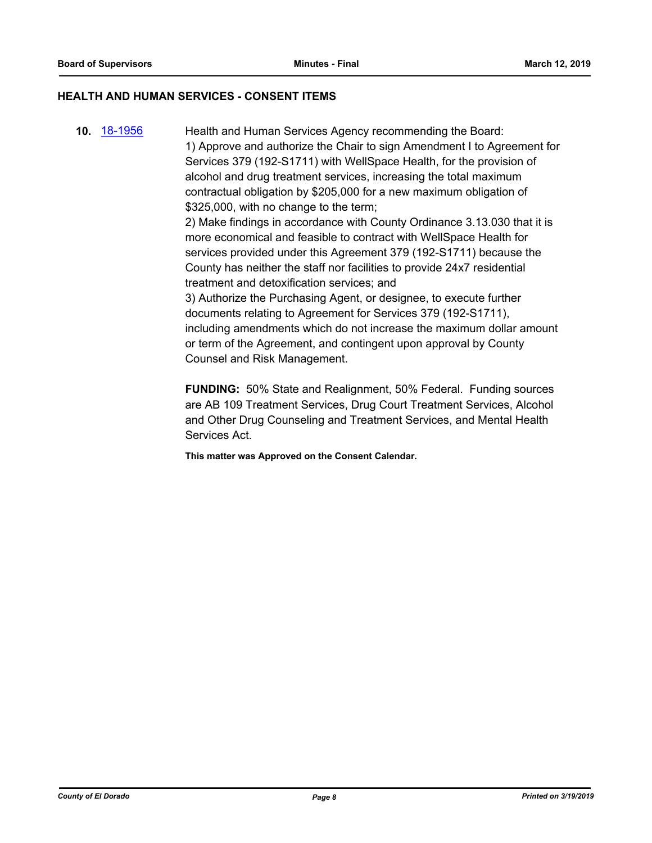#### **HEALTH AND HUMAN SERVICES - CONSENT ITEMS**

**10.** [18-1956](http://eldorado.legistar.com/gateway.aspx?m=l&id=/matter.aspx?key=25306) Health and Human Services Agency recommending the Board: 1) Approve and authorize the Chair to sign Amendment I to Agreement for Services 379 (192-S1711) with WellSpace Health, for the provision of alcohol and drug treatment services, increasing the total maximum contractual obligation by \$205,000 for a new maximum obligation of \$325,000, with no change to the term; 2) Make findings in accordance with County Ordinance 3.13.030 that it is more economical and feasible to contract with WellSpace Health for services provided under this Agreement 379 (192-S1711) because the County has neither the staff nor facilities to provide 24x7 residential treatment and detoxification services; and 3) Authorize the Purchasing Agent, or designee, to execute further documents relating to Agreement for Services 379 (192-S1711), including amendments which do not increase the maximum dollar amount or term of the Agreement, and contingent upon approval by County Counsel and Risk Management.

> **FUNDING:** 50% State and Realignment, 50% Federal. Funding sources are AB 109 Treatment Services, Drug Court Treatment Services, Alcohol and Other Drug Counseling and Treatment Services, and Mental Health Services Act.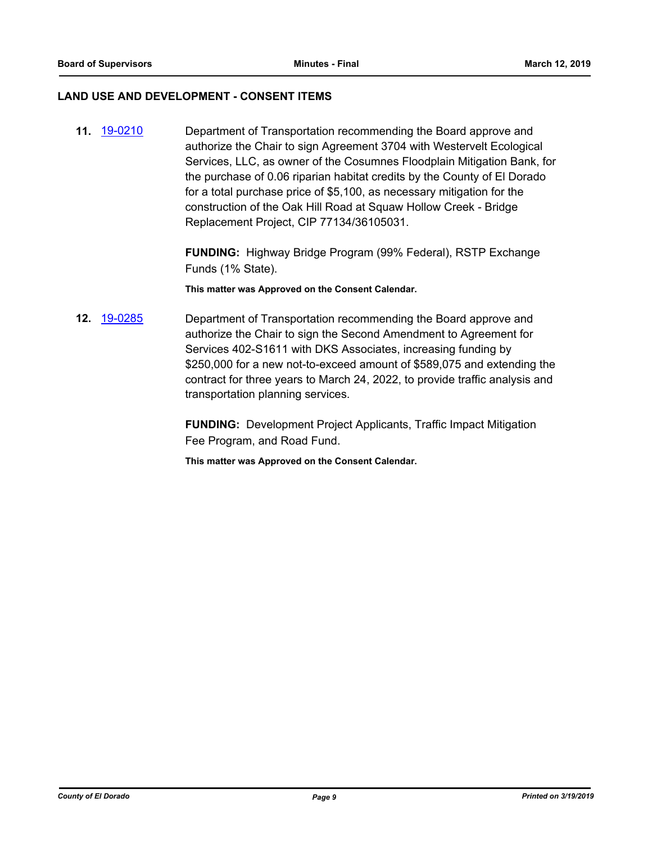#### **LAND USE AND DEVELOPMENT - CONSENT ITEMS**

**11.** [19-0210](http://eldorado.legistar.com/gateway.aspx?m=l&id=/matter.aspx?key=25530) Department of Transportation recommending the Board approve and authorize the Chair to sign Agreement 3704 with Westervelt Ecological Services, LLC, as owner of the Cosumnes Floodplain Mitigation Bank, for the purchase of 0.06 riparian habitat credits by the County of El Dorado for a total purchase price of \$5,100, as necessary mitigation for the construction of the Oak Hill Road at Squaw Hollow Creek - Bridge Replacement Project, CIP 77134/36105031.

> **FUNDING:** Highway Bridge Program (99% Federal), RSTP Exchange Funds (1% State).

**This matter was Approved on the Consent Calendar.**

**12.** [19-0285](http://eldorado.legistar.com/gateway.aspx?m=l&id=/matter.aspx?key=25607) Department of Transportation recommending the Board approve and authorize the Chair to sign the Second Amendment to Agreement for Services 402-S1611 with DKS Associates, increasing funding by \$250,000 for a new not-to-exceed amount of \$589,075 and extending the contract for three years to March 24, 2022, to provide traffic analysis and transportation planning services.

> **FUNDING:** Development Project Applicants, Traffic Impact Mitigation Fee Program, and Road Fund.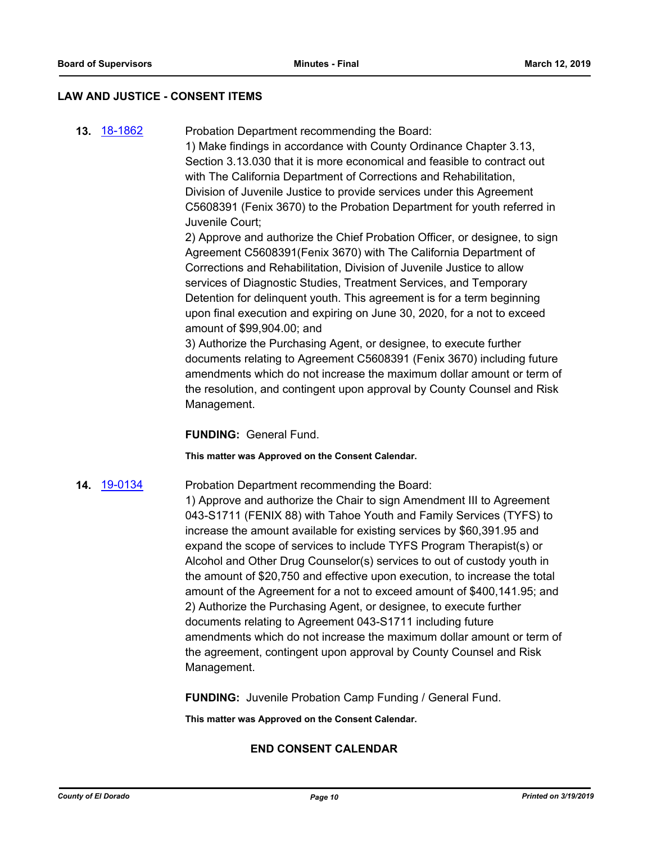#### **LAW AND JUSTICE - CONSENT ITEMS**

**13.** [18-1862](http://eldorado.legistar.com/gateway.aspx?m=l&id=/matter.aspx?key=25212) Probation Department recommending the Board:

1) Make findings in accordance with County Ordinance Chapter 3.13, Section 3.13.030 that it is more economical and feasible to contract out with The California Department of Corrections and Rehabilitation, Division of Juvenile Justice to provide services under this Agreement C5608391 (Fenix 3670) to the Probation Department for youth referred in Juvenile Court;

2) Approve and authorize the Chief Probation Officer, or designee, to sign Agreement C5608391(Fenix 3670) with The California Department of Corrections and Rehabilitation, Division of Juvenile Justice to allow services of Diagnostic Studies, Treatment Services, and Temporary Detention for delinquent youth. This agreement is for a term beginning upon final execution and expiring on June 30, 2020, for a not to exceed amount of \$99,904.00; and

3) Authorize the Purchasing Agent, or designee, to execute further documents relating to Agreement C5608391 (Fenix 3670) including future amendments which do not increase the maximum dollar amount or term of the resolution, and contingent upon approval by County Counsel and Risk Management.

**FUNDING:** General Fund.

**This matter was Approved on the Consent Calendar.**

#### **14.** [19-0134](http://eldorado.legistar.com/gateway.aspx?m=l&id=/matter.aspx?key=25455) Probation Department recommending the Board:

1) Approve and authorize the Chair to sign Amendment III to Agreement 043-S1711 (FENIX 88) with Tahoe Youth and Family Services (TYFS) to increase the amount available for existing services by \$60,391.95 and expand the scope of services to include TYFS Program Therapist(s) or Alcohol and Other Drug Counselor(s) services to out of custody youth in the amount of \$20,750 and effective upon execution, to increase the total amount of the Agreement for a not to exceed amount of \$400,141.95; and 2) Authorize the Purchasing Agent, or designee, to execute further documents relating to Agreement 043-S1711 including future amendments which do not increase the maximum dollar amount or term of the agreement, contingent upon approval by County Counsel and Risk Management.

**FUNDING:** Juvenile Probation Camp Funding / General Fund.

**This matter was Approved on the Consent Calendar.**

## **END CONSENT CALENDAR**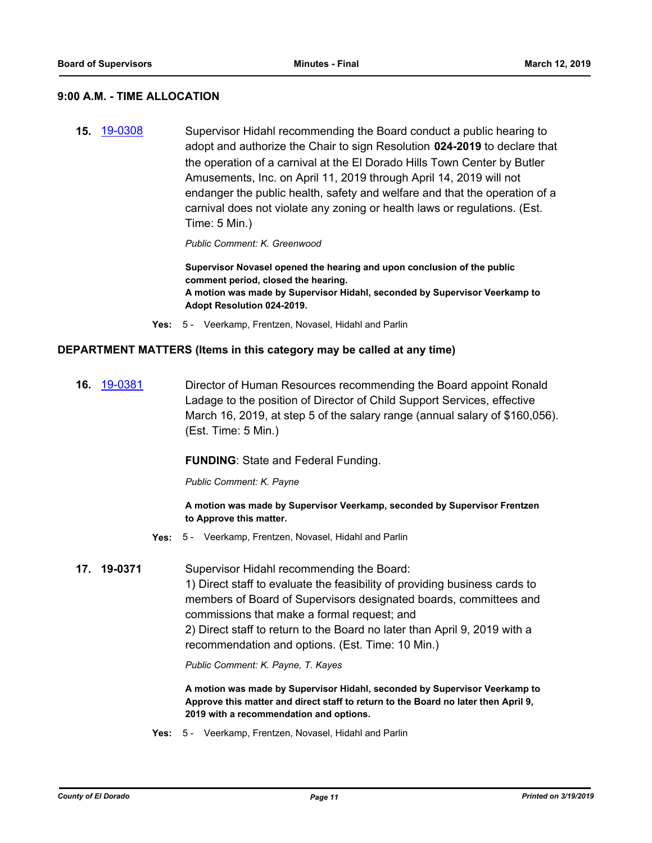#### **9:00 A.M. - TIME ALLOCATION**

**15.** [19-0308](http://eldorado.legistar.com/gateway.aspx?m=l&id=/matter.aspx?key=25630) Supervisor Hidahl recommending the Board conduct a public hearing to adopt and authorize the Chair to sign Resolution **024-2019** to declare that the operation of a carnival at the El Dorado Hills Town Center by Butler Amusements, Inc. on April 11, 2019 through April 14, 2019 will not endanger the public health, safety and welfare and that the operation of a carnival does not violate any zoning or health laws or regulations. (Est. Time: 5 Min.)

*Public Comment: K. Greenwood*

**Supervisor Novasel opened the hearing and upon conclusion of the public comment period, closed the hearing. A motion was made by Supervisor Hidahl, seconded by Supervisor Veerkamp to Adopt Resolution 024-2019.**

**Yes:** 5 - Veerkamp, Frentzen, Novasel, Hidahl and Parlin

#### **DEPARTMENT MATTERS (Items in this category may be called at any time)**

**16.** [19-0381](http://eldorado.legistar.com/gateway.aspx?m=l&id=/matter.aspx?key=25702) Director of Human Resources recommending the Board appoint Ronald Ladage to the position of Director of Child Support Services, effective March 16, 2019, at step 5 of the salary range (annual salary of \$160,056). (Est. Time: 5 Min.)

#### **FUNDING: State and Federal Funding.**

*Public Comment: K. Payne*

**A motion was made by Supervisor Veerkamp, seconded by Supervisor Frentzen to Approve this matter.**

- **Yes:** 5 Veerkamp, Frentzen, Novasel, Hidahl and Parlin
- **17. 19-0371** Supervisor Hidahl recommending the Board:

1) Direct staff to evaluate the feasibility of providing business cards to members of Board of Supervisors designated boards, committees and commissions that make a formal request; and 2) Direct staff to return to the Board no later than April 9, 2019 with a recommendation and options. (Est. Time: 10 Min.)

*Public Comment: K. Payne, T. Kayes*

**A motion was made by Supervisor Hidahl, seconded by Supervisor Veerkamp to Approve this matter and direct staff to return to the Board no later then April 9, 2019 with a recommendation and options.**

**Yes:** 5 - Veerkamp, Frentzen, Novasel, Hidahl and Parlin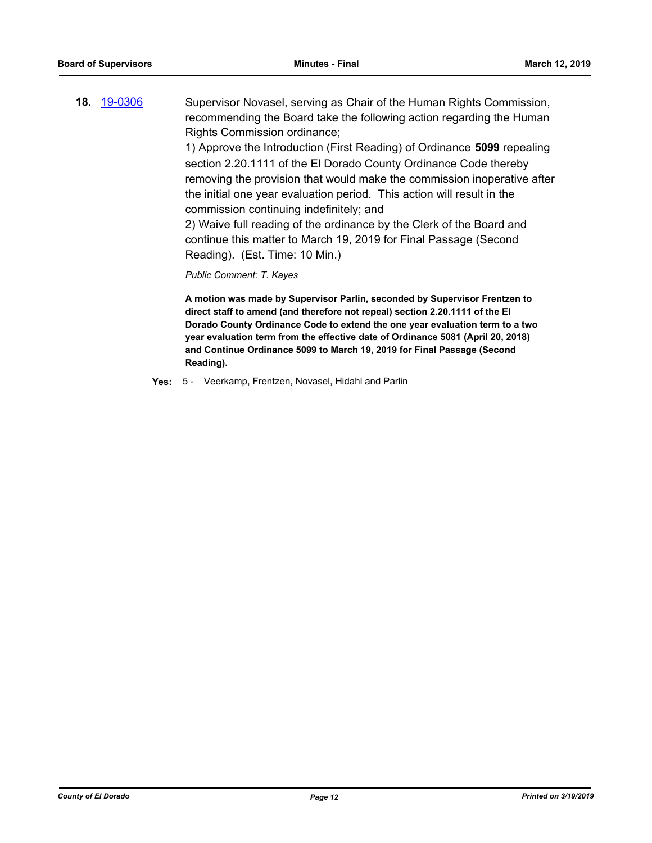**18.** [19-0306](http://eldorado.legistar.com/gateway.aspx?m=l&id=/matter.aspx?key=25628) Supervisor Novasel, serving as Chair of the Human Rights Commission, recommending the Board take the following action regarding the Human Rights Commission ordinance;

1) Approve the Introduction (First Reading) of Ordinance **5099** repealing section 2.20.1111 of the El Dorado County Ordinance Code thereby removing the provision that would make the commission inoperative after the initial one year evaluation period. This action will result in the commission continuing indefinitely; and

2) Waive full reading of the ordinance by the Clerk of the Board and continue this matter to March 19, 2019 for Final Passage (Second Reading). (Est. Time: 10 Min.)

*Public Comment: T. Kayes*

**A motion was made by Supervisor Parlin, seconded by Supervisor Frentzen to direct staff to amend (and therefore not repeal) section 2.20.1111 of the El Dorado County Ordinance Code to extend the one year evaluation term to a two year evaluation term from the effective date of Ordinance 5081 (April 20, 2018) and Continue Ordinance 5099 to March 19, 2019 for Final Passage (Second Reading).**

**Yes:** 5 - Veerkamp, Frentzen, Novasel, Hidahl and Parlin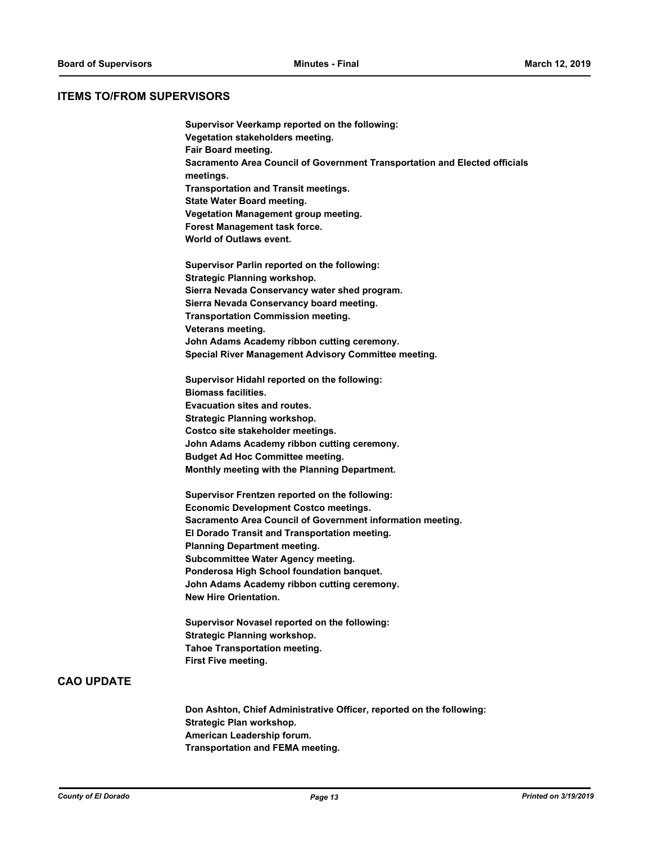#### **ITEMS TO/FROM SUPERVISORS**

**Supervisor Veerkamp reported on the following: Vegetation stakeholders meeting. Fair Board meeting. Sacramento Area Council of Government Transportation and Elected officials meetings. Transportation and Transit meetings. State Water Board meeting. Vegetation Management group meeting. Forest Management task force. World of Outlaws event. Supervisor Parlin reported on the following: Strategic Planning workshop. Sierra Nevada Conservancy water shed program. Sierra Nevada Conservancy board meeting. Transportation Commission meeting. Veterans meeting. John Adams Academy ribbon cutting ceremony. Special River Management Advisory Committee meeting. Supervisor Hidahl reported on the following: Biomass facilities. Evacuation sites and routes. Strategic Planning workshop. Costco site stakeholder meetings. John Adams Academy ribbon cutting ceremony. Budget Ad Hoc Committee meeting. Monthly meeting with the Planning Department. Supervisor Frentzen reported on the following: Economic Development Costco meetings. Sacramento Area Council of Government information meeting. El Dorado Transit and Transportation meeting. Planning Department meeting. Subcommittee Water Agency meeting. Ponderosa High School foundation banquet. John Adams Academy ribbon cutting ceremony. New Hire Orientation. Supervisor Novasel reported on the following: Strategic Planning workshop. Tahoe Transportation meeting. First Five meeting.**

**CAO UPDATE**

**Don Ashton, Chief Administrative Officer, reported on the following: Strategic Plan workshop. American Leadership forum. Transportation and FEMA meeting.**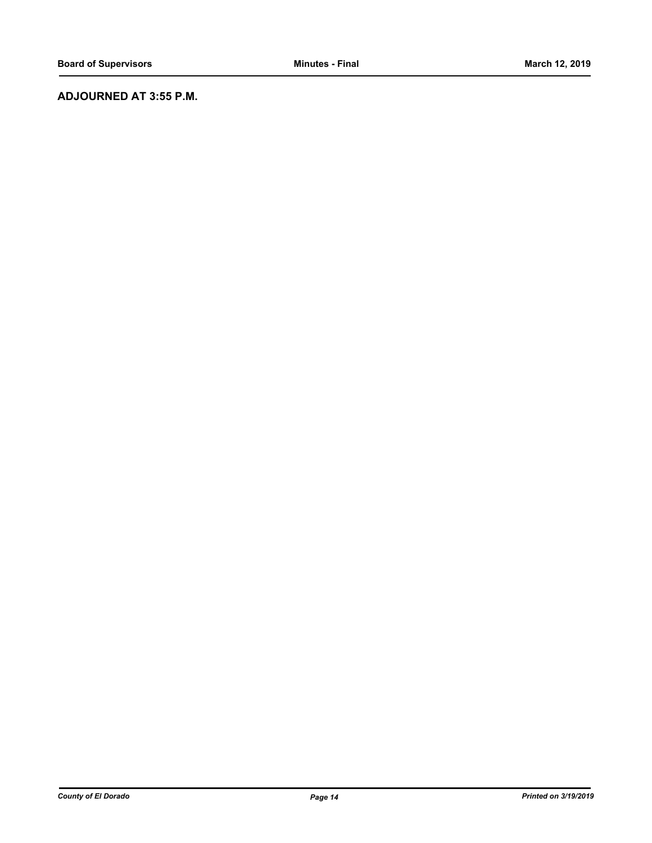## **ADJOURNED AT 3:55 P.M.**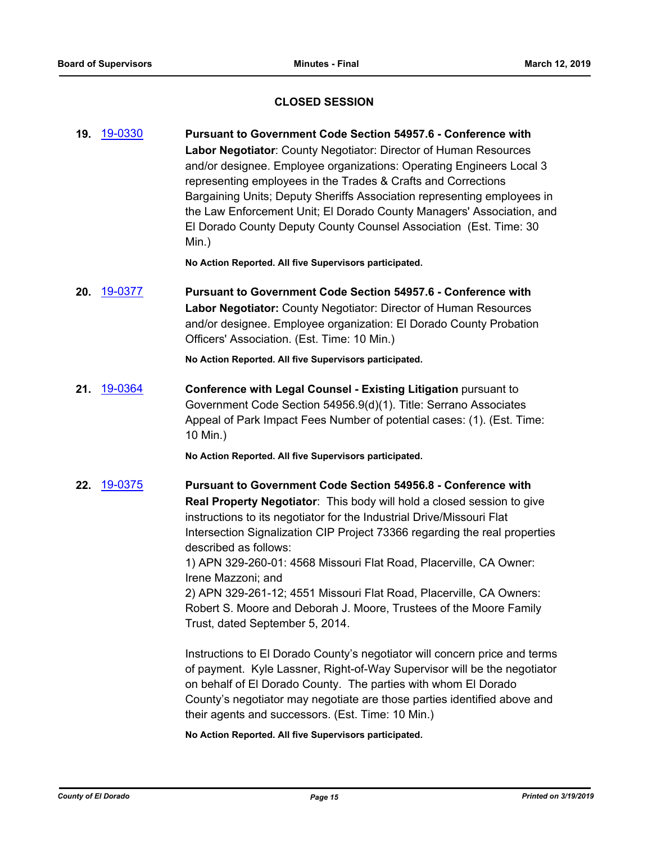## **CLOSED SESSION**

**19.** [19-0330](http://eldorado.legistar.com/gateway.aspx?m=l&id=/matter.aspx?key=25651) **Pursuant to Government Code Section 54957.6 - Conference with Labor Negotiator**: County Negotiator: Director of Human Resources and/or designee. Employee organizations: Operating Engineers Local 3 representing employees in the Trades & Crafts and Corrections Bargaining Units; Deputy Sheriffs Association representing employees in the Law Enforcement Unit; El Dorado County Managers' Association, and El Dorado County Deputy County Counsel Association (Est. Time: 30 Min.)

**No Action Reported. All five Supervisors participated.**

**20.** [19-0377](http://eldorado.legistar.com/gateway.aspx?m=l&id=/matter.aspx?key=25698) **Pursuant to Government Code Section 54957.6 - Conference with Labor Negotiator:** County Negotiator: Director of Human Resources and/or designee. Employee organization: El Dorado County Probation Officers' Association. (Est. Time: 10 Min.)

**No Action Reported. All five Supervisors participated.**

**21.** [19-0364](http://eldorado.legistar.com/gateway.aspx?m=l&id=/matter.aspx?key=25685) **Conference with Legal Counsel - Existing Litigation** pursuant to Government Code Section 54956.9(d)(1). Title: Serrano Associates Appeal of Park Impact Fees Number of potential cases: (1). (Est. Time: 10 Min.)

**No Action Reported. All five Supervisors participated.**

**22.** [19-0375](http://eldorado.legistar.com/gateway.aspx?m=l&id=/matter.aspx?key=25696) **Pursuant to Government Code Section 54956.8 - Conference with Real Property Negotiator**: This body will hold a closed session to give instructions to its negotiator for the Industrial Drive/Missouri Flat Intersection Signalization CIP Project 73366 regarding the real properties described as follows:

> 1) APN 329-260-01: 4568 Missouri Flat Road, Placerville, CA Owner: Irene Mazzoni; and

2) APN 329-261-12; 4551 Missouri Flat Road, Placerville, CA Owners: Robert S. Moore and Deborah J. Moore, Trustees of the Moore Family Trust, dated September 5, 2014.

Instructions to El Dorado County's negotiator will concern price and terms of payment. Kyle Lassner, Right-of-Way Supervisor will be the negotiator on behalf of El Dorado County. The parties with whom El Dorado County's negotiator may negotiate are those parties identified above and their agents and successors. (Est. Time: 10 Min.)

#### **No Action Reported. All five Supervisors participated.**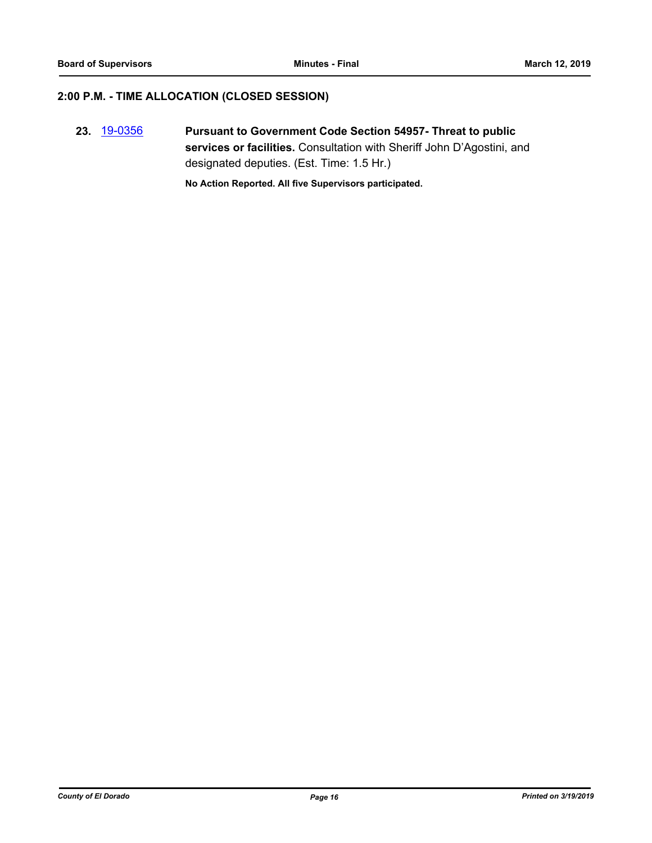#### **2:00 P.M. - TIME ALLOCATION (CLOSED SESSION)**

**23.** [19-0356](http://eldorado.legistar.com/gateway.aspx?m=l&id=/matter.aspx?key=25677) **Pursuant to Government Code Section 54957- Threat to public services or facilities.** Consultation with Sheriff John D'Agostini, and designated deputies. (Est. Time: 1.5 Hr.)

**No Action Reported. All five Supervisors participated.**